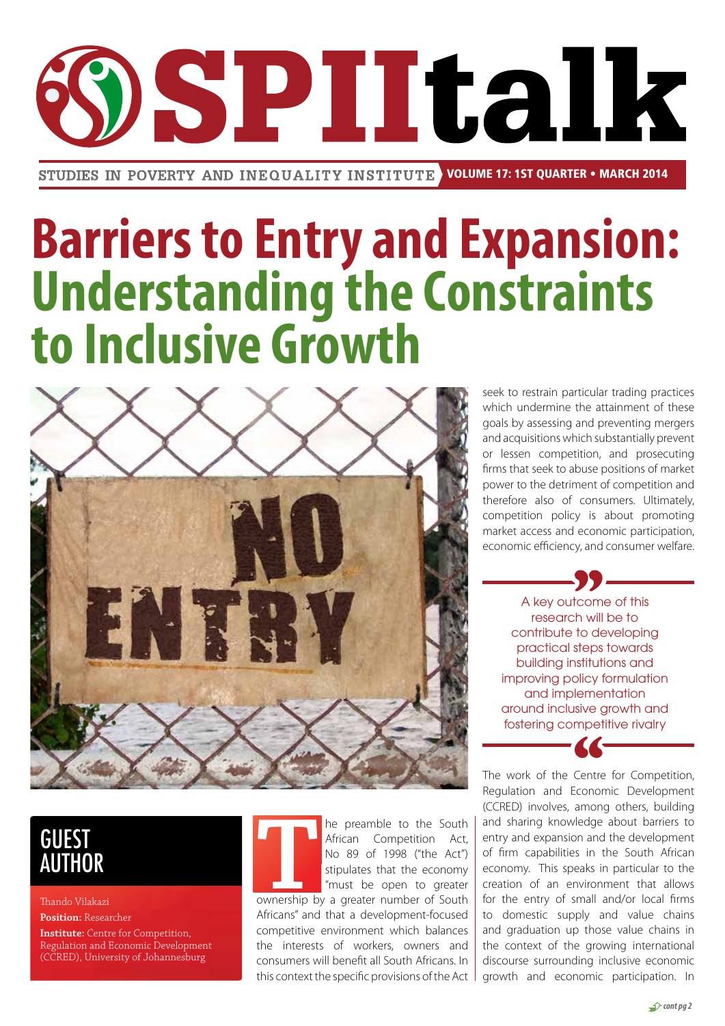# **SPIItalk**

STUDIES IN POVERTY AND INEQUALITY INSTITUTE VOLUME 17: 1ST QUARTER • MARCH 2014

## **Barriers to Entry and Expansion: Understanding the Constraints to Inclusive Growth**



seek to restrain particular trading practices which undermine the attainment of these goals by assessing and preventing mergers and acquisitions which substantially prevent or lessen competition, and prosecuting firms that seek to abuse positions of market power to the detriment of competition and therefore also of consumers. Ultimately, competition policy is about promoting market access and economic participation, economic efficiency, and consumer welfare.

A key outcome of this research will be to contribute to developing practical steps towards building institutions and improving policy formulation and implementation around inclusive growth and fostering competitive rivalry

The work of the Centre for Competition, Regulation and Economic Development (CCRED) involves, among others, building and sharing knowledge about barriers to entry and expansion and the development of firm capabilities in the South African economy. This speaks in particular to the creation of an environment that allows for the entry of small and/or local firms to domestic supply and value chains and graduation up those value chains in the context of the growing international discourse surrounding inclusive economic growth and economic participation. In

## **GUEST<br>AUTHOR**

Thando Vilakazi **Position:** Researcher **Institute:** Centre for Competition, Regulation and Economic Development (CCRED), University of Johannesburg

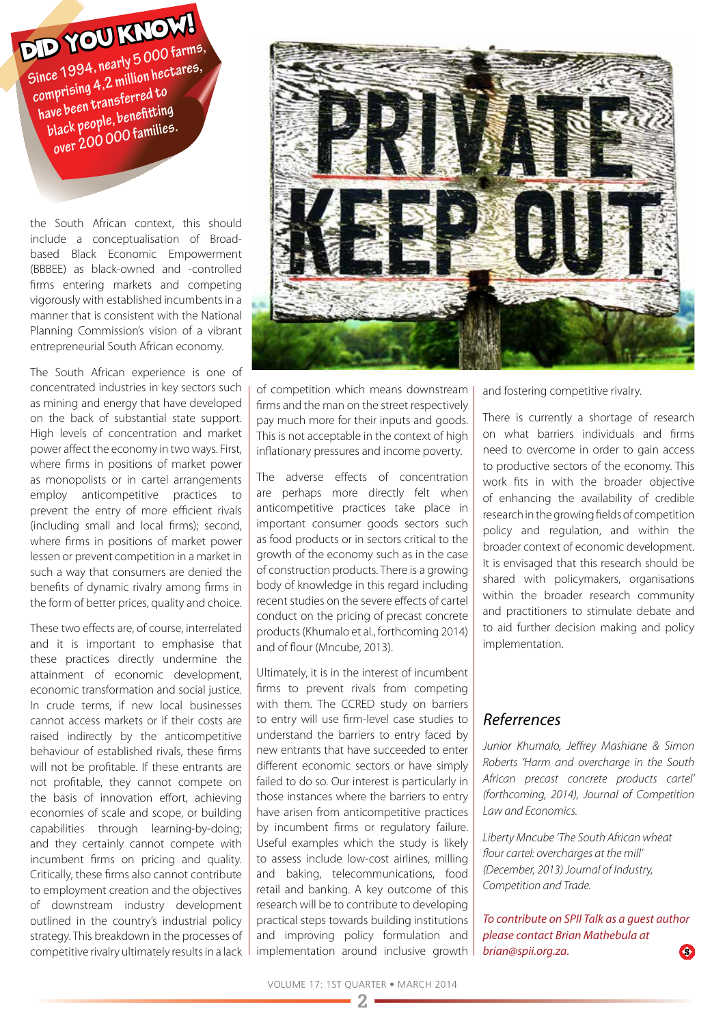**Since 1994, nearly 5 000 farms, comprising 4,2 million hectares, have been transferred to black people, benefitting over 200 000 families.**

the South African context, this should include a conceptualisation of Broadbased Black Economic Empowerment (BBBEE) as black-owned and -controlled firms entering markets and competing vigorously with established incumbents in a manner that is consistent with the National Planning Commission's vision of a vibrant entrepreneurial South African economy.

The South African experience is one of concentrated industries in key sectors such as mining and energy that have developed on the back of substantial state support. High levels of concentration and market power affect the economy in two ways. First, where firms in positions of market power as monopolists or in cartel arrangements employ anticompetitive practices to prevent the entry of more efficient rivals (including small and local firms); second, where firms in positions of market power lessen or prevent competition in a market in such a way that consumers are denied the benefits of dynamic rivalry among firms in the form of better prices, quality and choice.

These two effects are, of course, interrelated and it is important to emphasise that these practices directly undermine the attainment of economic development, economic transformation and social justice. In crude terms, if new local businesses cannot access markets or if their costs are raised indirectly by the anticompetitive behaviour of established rivals, these firms will not be profitable. If these entrants are not profitable, they cannot compete on the basis of innovation effort, achieving economies of scale and scope, or building capabilities through learning-by-doing; and they certainly cannot compete with incumbent firms on pricing and quality. Critically, these firms also cannot contribute to employment creation and the objectives of downstream industry development outlined in the country's industrial policy strategy. This breakdown in the processes of competitive rivalry ultimately results in a lack



of competition which means downstream firms and the man on the street respectively pay much more for their inputs and goods. This is not acceptable in the context of high inflationary pressures and income poverty.

The adverse effects of concentration are perhaps more directly felt when anticompetitive practices take place in important consumer goods sectors such as food products or in sectors critical to the growth of the economy such as in the case of construction products. There is a growing body of knowledge in this regard including recent studies on the severe effects of cartel conduct on the pricing of precast concrete products (Khumalo et al., forthcoming 2014) and of flour (Mncube, 2013).

Ultimately, it is in the interest of incumbent firms to prevent rivals from competing with them. The CCRED study on barriers to entry will use firm-level case studies to understand the barriers to entry faced by new entrants that have succeeded to enter different economic sectors or have simply failed to do so. Our interest is particularly in those instances where the barriers to entry have arisen from anticompetitive practices by incumbent firms or regulatory failure. Useful examples which the study is likely to assess include low-cost airlines, milling and baking, telecommunications, food retail and banking. A key outcome of this research will be to contribute to developing practical steps towards building institutions and improving policy formulation and implementation around inclusive growth and fostering competitive rivalry.

There is currently a shortage of research on what barriers individuals and firms need to overcome in order to gain access to productive sectors of the economy. This work fits in with the broader objective of enhancing the availability of credible research in the growing fields of competition policy and regulation, and within the broader context of economic development. It is envisaged that this research should be shared with policymakers, organisations within the broader research community and practitioners to stimulate debate and to aid further decision making and policy implementation.

### *Referrences*

*Junior Khumalo, Jeffrey Mashiane & Simon Roberts 'Harm and overcharge in the South African precast concrete products cartel' (forthcoming, 2014), Journal of Competition Law and Economics.*

*Liberty Mncube 'The South African wheat flour cartel: overcharges at the mill' (December, 2013) Journal of Industry, Competition and Trade.*

*To contribute on SPII Talk as a guest author please contact Brian Mathebula at brian@spii.org.za.*   $\bullet$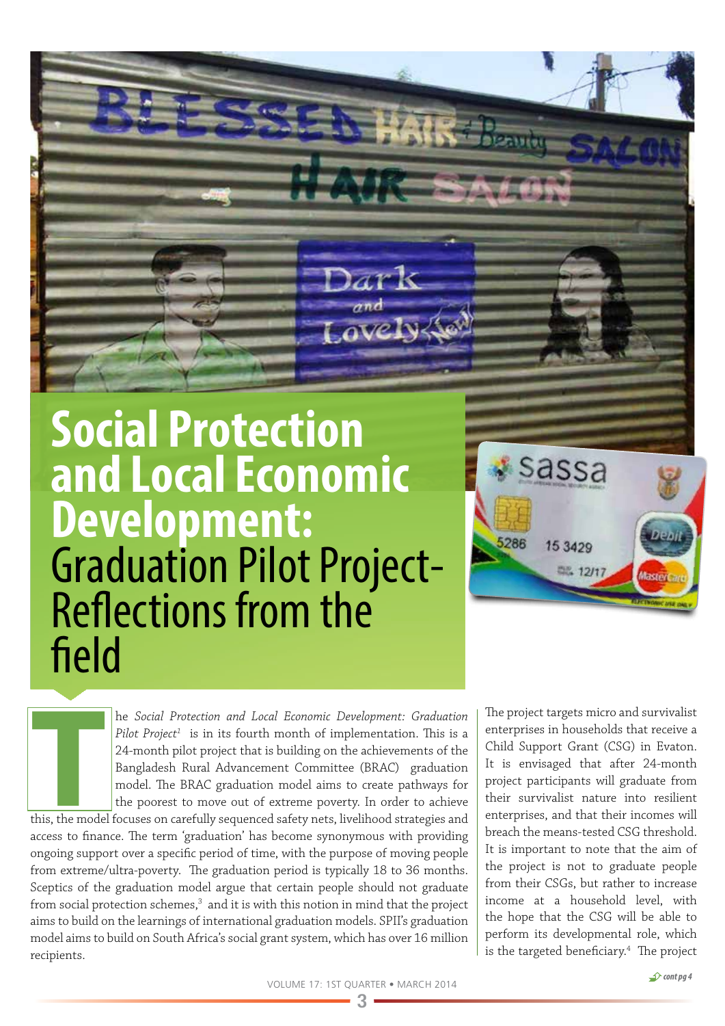

he *Social Protection and Local Economic Development: Graduation*  Pilot Project<sup>1</sup> is in its fourth month of implementation. This is a 24-month pilot project that is building on the achievements of the Bangladesh Rural Advancement Committee (BRAC) graduation model. The BRAC graduation model aims to create pathways for the poorest to move out of extreme poverty. In order to achieve

**T**<br>This, the mode this, the model focuses on carefully sequenced safety nets, livelihood strategies and access to finance. The term 'graduation' has become synonymous with providing ongoing support over a specific period of time, with the purpose of moving people from extreme/ultra-poverty. The graduation period is typically 18 to 36 months. Sceptics of the graduation model argue that certain people should not graduate from social protection schemes, $^3$  and it is with this notion in mind that the project aims to build on the learnings of international graduation models. SPII's graduation model aims to build on South Africa's social grant system, which has over 16 million recipients.

The project targets micro and survivalist enterprises in households that receive a Child Support Grant (CSG) in Evaton. It is envisaged that after 24-month project participants will graduate from their survivalist nature into resilient enterprises, and that their incomes will breach the means-tested CSG threshold. It is important to note that the aim of the project is not to graduate people from their CSGs, but rather to increase income at a household level, with the hope that the CSG will be able to perform its developmental role, which is the targeted beneficiary.<sup>4</sup> The project

sassa

15 34 29

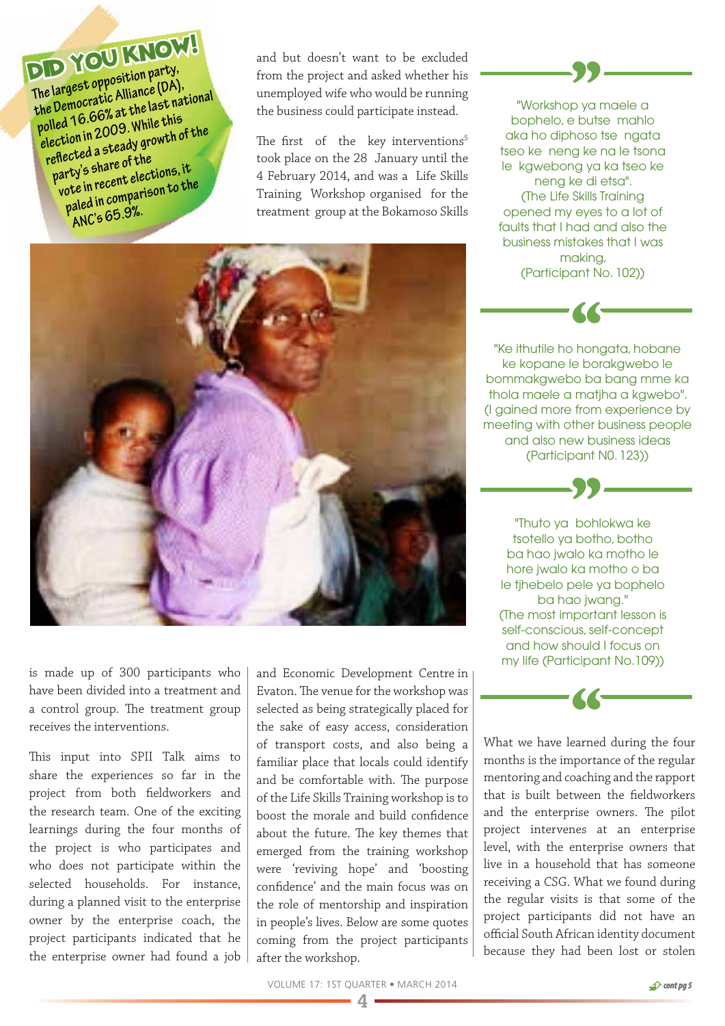**The largest opposition party, the Democratic Alliance (DA), polled 16.66% at the last national election in 2009. While this reflected a steady growth of the party's share of the vote in recent elections, it paled in comparison to the ANC's 65.9%.**

and but doesn't want to be excluded from the project and asked whether his unemployed wife who would be running the business could participate instead.

The first of the key interventions<sup>5</sup> took place on the 28 January until the 4 February 2014, and was a Life Skills Training Workshop organised for the treatment group at the Bokamoso Skills



is made up of 300 participants who have been divided into a treatment and a control group. The treatment group receives the interventions.

This input into SPII Talk aims to share the experiences so far in the project from both fieldworkers and the research team. One of the exciting learnings during the four months of the project is who participates and who does not participate within the selected households. For instance, during a planned visit to the enterprise owner by the enterprise coach, the project participants indicated that he the enterprise owner had found a job and Economic Development Centre in Evaton. The venue for the workshop was selected as being strategically placed for the sake of easy access, consideration of transport costs, and also being a familiar place that locals could identify and be comfortable with. The purpose of the Life Skills Training workshop is to boost the morale and build confidence about the future. The key themes that emerged from the training workshop were 'reviving hope' and 'boosting confidence' and the main focus was on the role of mentorship and inspiration in people's lives. Below are some quotes coming from the project participants after the workshop.



"Ke ithutile ho hongata, hobane ke kopane le borakgwebo le bommakgwebo ba bang mme ka thola maele a matjha a kgwebo". (I gained more from experience by meeting with other business people and also new business ideas (Participant N0. 123))

"Thuto ya bohlokwa ke tsotello ya botho, botho ba hao jwalo ka motho le hore jwalo ka motho o ba le tjhebelo pele ya bophelo ba hao jwang." (The most important lesson is self-conscious, self-concept and how should I focus on my life (Participant No.109))

What we have learned during the four months is the importance of the regular mentoring and coaching and the rapport that is built between the fieldworkers and the enterprise owners. The pilot project intervenes at an enterprise level, with the enterprise owners that live in a household that has someone receiving a CSG. What we found during the regular visits is that some of the project participants did not have an official South African identity document because they had been lost or stolen

VOLUME 17: 1ST QUARTER • MARCH 2014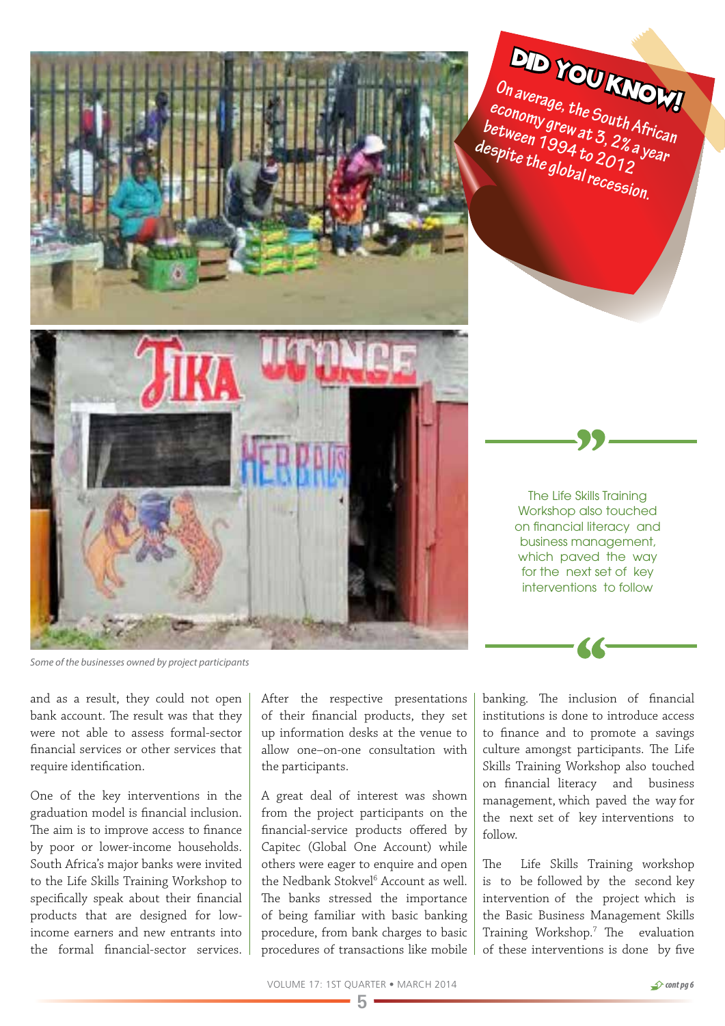

*Some of the businesses owned by project participants*

and as a result, they could not open bank account. The result was that they were not able to assess formal-sector financial services or other services that require identification.

One of the key interventions in the graduation model is financial inclusion. The aim is to improve access to finance by poor or lower-income households. South Africa's major banks were invited to the Life Skills Training Workshop to specifically speak about their financial products that are designed for lowincome earners and new entrants into the formal financial-sector services. After the respective presentations of their financial products, they set up information desks at the venue to allow one–on-one consultation with the participants.

A great deal of interest was shown from the project participants on the financial-service products offered by Capitec (Global One Account) while others were eager to enquire and open the Nedbank Stokvel<sup>6</sup> Account as well. The banks stressed the importance of being familiar with basic banking procedure, from bank charges to basic procedures of transactions like mobile banking. The inclusion of financial institutions is done to introduce access to finance and to promote a savings culture amongst participants. The Life Skills Training Workshop also touched on financial literacy and business management, which paved the way for the next set of key interventions to

The Life Skills Training Workshop also touched on financial literacy and business management, which paved the way for the next set of key interventions to follow

**On average, the South African economy grew at 3, 2% a year** 

DID YOU KNOW!

The Life Skills Training workshop is to be followed by the second key intervention of the project which is the Basic Business Management Skills Training Workshop.7 The evaluation of these interventions is done by five

follow.

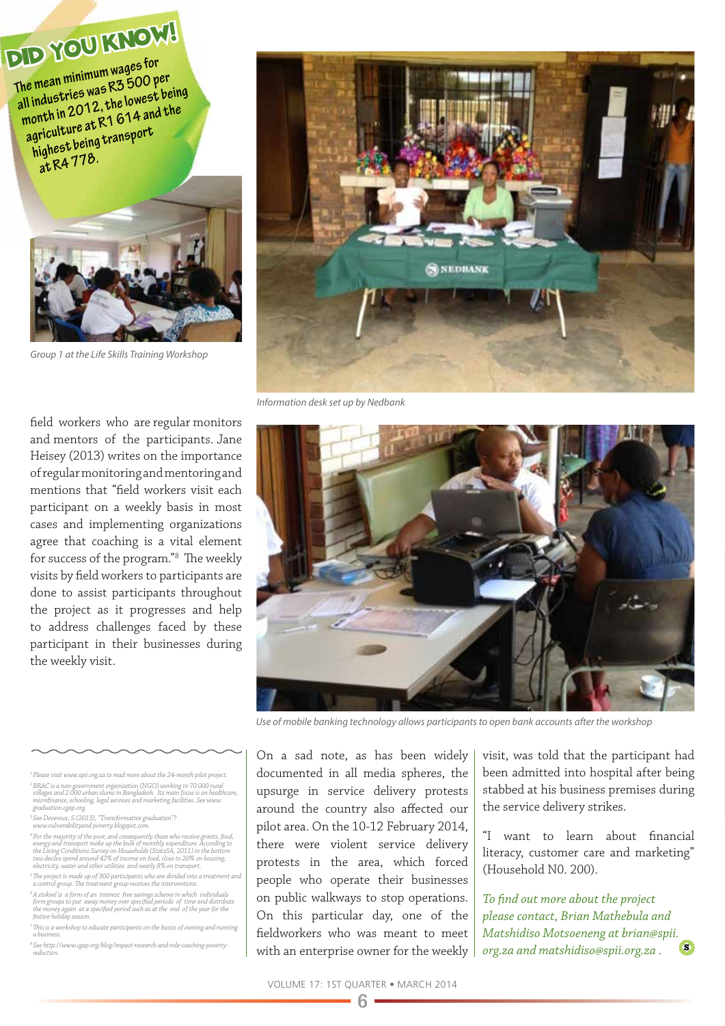**The mean minimum wages for all industries was R3 500 per month in 2012, the lowest being agriculture at R1 614 and the highest being transport at R4 778.** 



*Group 1 at the Life Skills Training Workshop*

field workers who are regular monitors and mentors of the participants. Jane Heisey (2013) writes on the importance of regular monitoring and mentoring and mentions that "field workers visit each participant on a weekly basis in most cases and implementing organizations agree that coaching is a vital element for success of the program."8 The weekly visits by field workers to participants are done to assist participants throughout the project as it progresses and help to address challenges faced by these participant in their businesses during the weekly visit.



*Information desk set up by Nedbank*



*Use of mobile banking technology allows participants to open bank accounts after the workshop*

*1 Please visit www.spii.org.za to read more about the 24-month pilot project.* <sup>2</sup>BRAC is a non-government organisation (NGO) working in 70 000 rural<br>villages and 2 000 urban slums in Bangladesh. Its main focus is on healthcare,<br>microfinance, schooling, legal services and marketing facilities. See ww

*3 See Devereux, S.(2013), "Transformative graduation"? www.vulnerabilityand poverty.blogspot.com.*

<sup>4</sup> For the majority of the poor, and consequently those who receive grants, food, energy and transport make up the bulk of monthly expenditure. According to the Living Conditions Survey on Households (StatsSA, 2011) in th

*5 The project is made up of 300 participants who are divided into a treatment and a control group. The treatment group receives the interventions.* 

 $\%$  stokvel is a form of an interest free savings scheme in which individuals<br>form groups to put away money over specified periods of time and distribute<br>the money again at a specified period such as at the end of the ye

*7 This is a workshop to educate participants on the basics of owning and running a business.*

*8 See http://www.cgap.org/blog/impact-research-and-role-coaching-povertyreduction.* 

On a sad note, as has been widely documented in all media spheres, the upsurge in service delivery protests around the country also affected our pilot area. On the 10-12 February 2014, there were violent service delivery protests in the area, which forced people who operate their businesses on public walkways to stop operations. On this particular day, one of the fieldworkers who was meant to meet with an enterprise owner for the weekly visit, was told that the participant had been admitted into hospital after being stabbed at his business premises during the service delivery strikes.

"I want to learn about financial literacy, customer care and marketing" (Household N0. 200).

*To find out more about the project please contact, Brian Mathebula and Matshidiso Motsoeneng at brian@spii. org.za and matshidiso@spii.org.za .*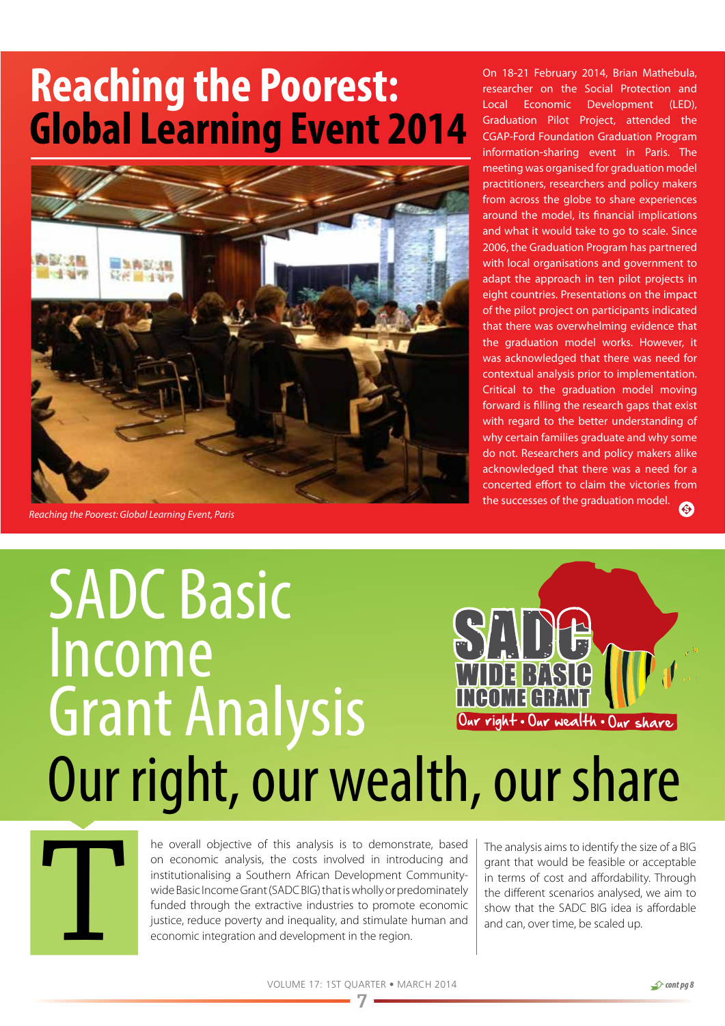## **Reaching the Poorest: Global Learning Event 2014**



*Reaching the Poorest: Global Learning Event, Paris*

On 18-21 February 2014, Brian Mathebula, researcher on the Social Protection and Local Economic Development (LED), Graduation Pilot Project, attended the CGAP-Ford Foundation Graduation Program information-sharing event in Paris. The meeting was organised for graduation model practitioners, researchers and policy makers from across the globe to share experiences around the model, its financial implications and what it would take to go to scale. Since 2006, the Graduation Program has partnered with local organisations and government to adapt the approach in ten pilot projects in eight countries. Presentations on the impact of the pilot project on participants indicated that there was overwhelming evidence that the graduation model works. However, it was acknowledged that there was need for contextual analysis prior to implementation. Critical to the graduation model moving forward is filling the research gaps that exist with regard to the better understanding of why certain families graduate and why some do not. Researchers and policy makers alike acknowledged that there was a need for a concerted effort to claim the victories from the successes of the graduation model. G)

## Our right, our wealth, our share **SADC Basic** Income Grant Analysis Our right • Our wealth • Our share



The overall objective of this analysis is to demonstrate, based<br>on economic analysis, the costs involved in introducing and<br>institutionalising a Southern African Development Community-<br>wide Basic Income Grant (SADC BIG) th on economic analysis, the costs involved in introducing and institutionalising a Southern African Development Communitywide Basic Income Grant (SADC BIG) that is wholly or predominately funded through the extractive industries to promote economic justice, reduce poverty and inequality, and stimulate human and economic integration and development in the region.

The analysis aims to identify the size of a BIG grant that would be feasible or acceptable in terms of cost and affordability. Through the different scenarios analysed, we aim to show that the SADC BIG idea is affordable and can, over time, be scaled up.

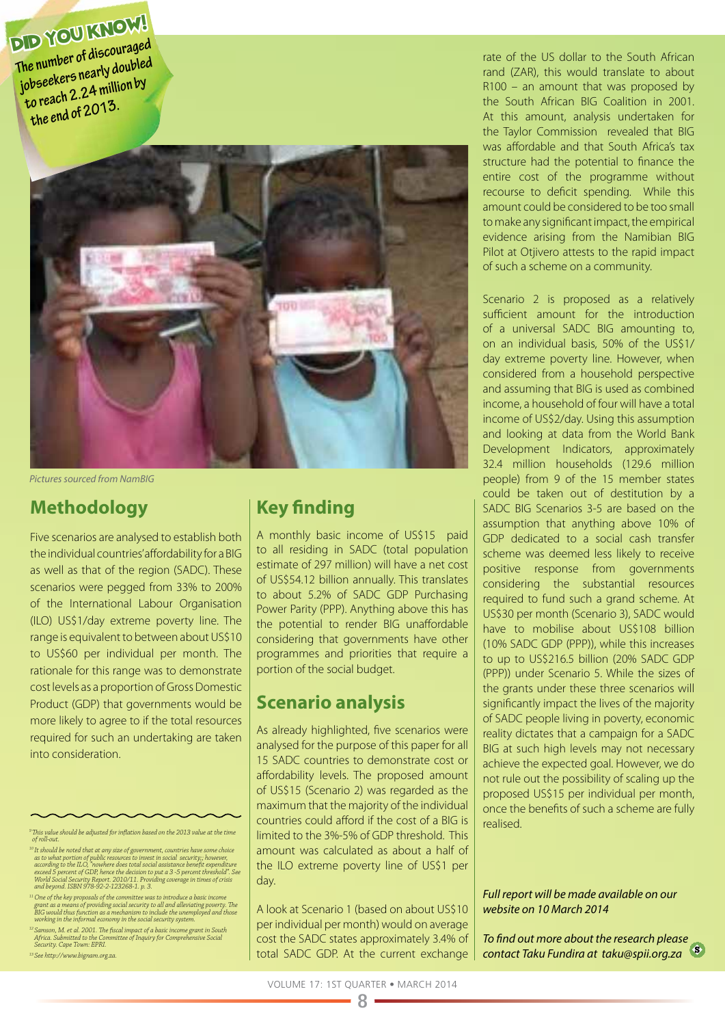**The number of discouraged jobseekers nearly doubled to reach 2.24 million by the end of 2013.**



*Pictures sourced from NamBIG*

### **Methodology**

Five scenarios are analysed to establish both the individual countries' affordability for a BIG as well as that of the region (SADC). These scenarios were pegged from 33% to 200% of the International Labour Organisation (ILO) US\$1/day extreme poverty line. The range is equivalent to between about US\$10 to US\$60 per individual per month. The rationale for this range was to demonstrate cost levels as a proportion of Gross Domestic Product (GDP) that governments would be more likely to agree to if the total resources required for such an undertaking are taken into consideration.

<sup>12</sup> Samson, M. et al. 2001. The fiscal impact of a basic income grant in South<br>Africa. Submitted to the Committee of Inquiry for Comprehensive Social<br>*Security. Cape Town: EPRI*.

*13 See http://www.bignam.org.za.* 

### **Key finding**

A monthly basic income of US\$15 paid to all residing in SADC (total population estimate of 297 million) will have a net cost of US\$54.12 billion annually. This translates to about 5.2% of SADC GDP Purchasing Power Parity (PPP). Anything above this has the potential to render BIG unaffordable considering that governments have other programmes and priorities that require a portion of the social budget.

### **Scenario analysis**

As already highlighted, five scenarios were analysed for the purpose of this paper for all 15 SADC countries to demonstrate cost or affordability levels. The proposed amount of US\$15 (Scenario 2) was regarded as the maximum that the majority of the individual countries could afford if the cost of a BIG is limited to the 3%-5% of GDP threshold. This amount was calculated as about a half of the ILO extreme poverty line of US\$1 per day.

A look at Scenario 1 (based on about US\$10 per individual per month) would on average cost the SADC states approximately 3.4% of total SADC GDP. At the current exchange

rate of the US dollar to the South African rand (ZAR), this would translate to about R100 – an amount that was proposed by the South African BIG Coalition in 2001. At this amount, analysis undertaken for the Taylor Commission revealed that BIG was affordable and that South Africa's tax structure had the potential to finance the entire cost of the programme without recourse to deficit spending. While this amount could be considered to be too small to make any significant impact, the empirical evidence arising from the Namibian BIG Pilot at Otjivero attests to the rapid impact of such a scheme on a community.

Scenario 2 is proposed as a relatively sufficient amount for the introduction of a universal SADC BIG amounting to, on an individual basis, 50% of the US\$1/ day extreme poverty line. However, when considered from a household perspective and assuming that BIG is used as combined income, a household of four will have a total income of US\$2/day. Using this assumption and looking at data from the World Bank Development Indicators, approximately 32.4 million households (129.6 million people) from 9 of the 15 member states could be taken out of destitution by a SADC BIG Scenarios 3-5 are based on the assumption that anything above 10% of GDP dedicated to a social cash transfer scheme was deemed less likely to receive positive response from governments considering the substantial resources required to fund such a grand scheme. At US\$30 per month (Scenario 3), SADC would have to mobilise about US\$108 billion (10% SADC GDP (PPP)), while this increases to up to US\$216.5 billion (20% SADC GDP (PPP)) under Scenario 5. While the sizes of the grants under these three scenarios will significantly impact the lives of the majority of SADC people living in poverty, economic reality dictates that a campaign for a SADC BIG at such high levels may not necessary achieve the expected goal. However, we do not rule out the possibility of scaling up the proposed US\$15 per individual per month, once the benefits of such a scheme are fully realised.

### *Full report will be made available on our website on 10 March 2014*

*To find out more about the research please contact Taku Fundira at taku@spii.org.za* 

*<sup>9</sup> This value should be adjusted for inflation based on the 2013 value at the time of roll-out.*

<sup>&</sup>lt;sup>10</sup>It should be noted that at any size of government, countries have some choice as to what portion of public resources to invest in social according to the ILO, 'nowhere does total social assistance benefit expenditure

*<sup>11</sup> One of the key proposals of the committee was to introduce a basic income*  grant as a means of providing social security to all and alleviating poverty. The<br>BIG would thus function as a mechanism to include the unemployed and those<br>working in the informal economy in the social security system.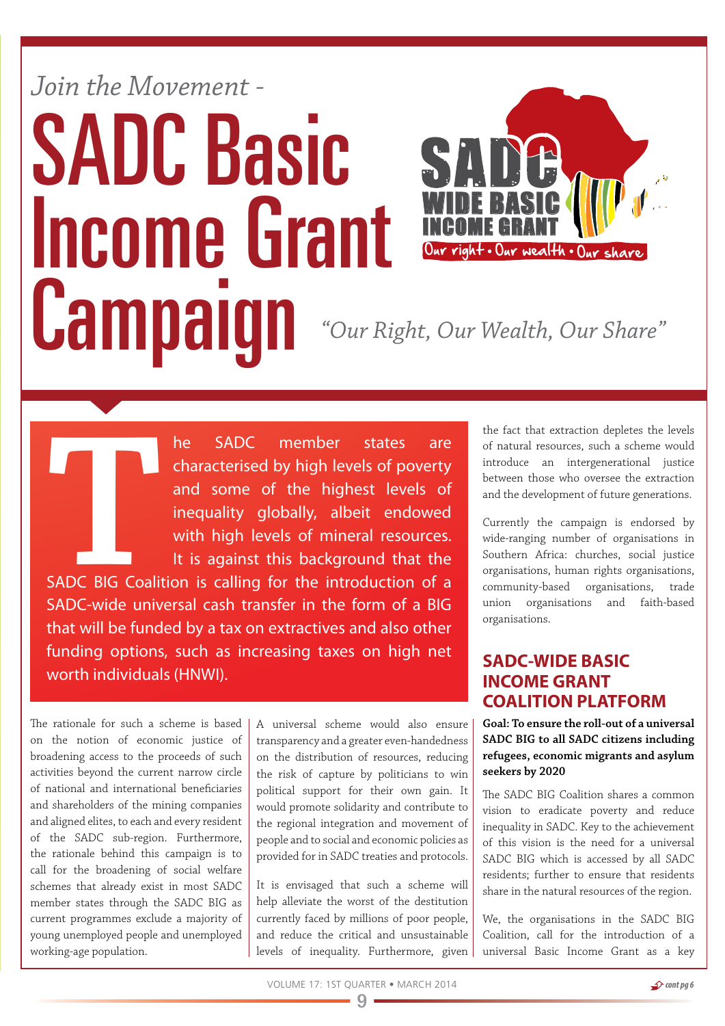## *Join the Movement -* SADC Basic Income Grant Campaign *"Our Right, Our Wealth, Our Share"*



**THE SADC** member states are characterised by high levels of poverty and some of the highest levels of inequality globally, albeit endowed with high levels of mineral resources.<br>It is against this background that the SADC characterised by high levels of poverty and some of the highest levels of inequality globally, albeit endowed with high levels of mineral resources. It is against this background that the SADC BIG Coalition is calling for the introduction of a SADC-wide universal cash transfer in the form of a BIG that will be funded by a tax on extractives and also other funding options, such as increasing taxes on high net worth individuals (HNWI).

The rationale for such a scheme is based on the notion of economic justice of broadening access to the proceeds of such activities beyond the current narrow circle of national and international beneficiaries and shareholders of the mining companies and aligned elites, to each and every resident of the SADC sub-region. Furthermore, the rationale behind this campaign is to call for the broadening of social welfare schemes that already exist in most SADC member states through the SADC BIG as current programmes exclude a majority of young unemployed people and unemployed working-age population.

A universal scheme would also ensure transparency and a greater even-handedness on the distribution of resources, reducing the risk of capture by politicians to win political support for their own gain. It would promote solidarity and contribute to the regional integration and movement of people and to social and economic policies as provided for in SADC treaties and protocols.

It is envisaged that such a scheme will help alleviate the worst of the destitution currently faced by millions of poor people, and reduce the critical and unsustainable levels of inequality. Furthermore, given the fact that extraction depletes the levels of natural resources, such a scheme would introduce an intergenerational justice between those who oversee the extraction and the development of future generations.

Currently the campaign is endorsed by wide-ranging number of organisations in Southern Africa: churches, social justice organisations, human rights organisations, community-based organisations, trade union organisations and faith-based organisations.

### **SADC-WIDE BASIC INCOME GRANT COALITION PLATFORM**

**Goal: To ensure the roll-out of a universal SADC BIG to all SADC citizens including refugees, economic migrants and asylum seekers by 2020**

The SADC BIG Coalition shares a common vision to eradicate poverty and reduce inequality in SADC. Key to the achievement of this vision is the need for a universal SADC BIG which is accessed by all SADC residents; further to ensure that residents share in the natural resources of the region.

We, the organisations in the SADC BIG Coalition, call for the introduction of a universal Basic Income Grant as a key

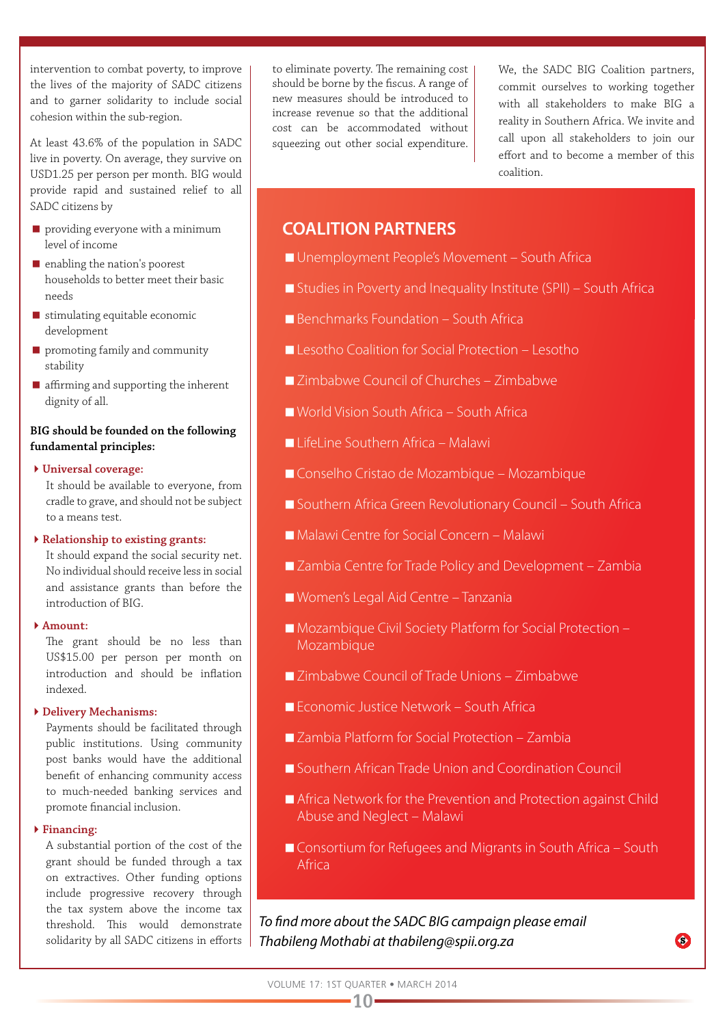intervention to combat poverty, to improve the lives of the majority of SADC citizens and to garner solidarity to include social cohesion within the sub-region.

At least 43.6% of the population in SADC live in poverty. On average, they survive on USD1.25 per person per month. BIG would provide rapid and sustained relief to all SADC citizens by

- **P** providing everyone with a minimum level of income
- $\blacksquare$  enabling the nation's poorest households to better meet their basic needs
- $\blacksquare$  stimulating equitable economic development
- **P** promoting family and community stability
- **a** affirming and supporting the inherent dignity of all.

#### **BIG should be founded on the following fundamental principles:**

**Universal coverage:**

 It should be available to everyone, from cradle to grave, and should not be subject to a means test.

**Relationship to existing grants:** 

It should expand the social security net. No individual should receive less in social and assistance grants than before the introduction of BIG.

**Amount:** 

The grant should be no less than US\$15.00 per person per month on introduction and should be inflation indexed.

**Delivery Mechanisms:** 

Payments should be facilitated through public institutions. Using community post banks would have the additional benefit of enhancing community access to much-needed banking services and promote financial inclusion.

**Financing:** 

A substantial portion of the cost of the grant should be funded through a tax on extractives. Other funding options include progressive recovery through the tax system above the income tax threshold. This would demonstrate

to eliminate poverty. The remaining cost should be borne by the fiscus. A range of new measures should be introduced to increase revenue so that the additional cost can be accommodated without squeezing out other social expenditure.

We, the SADC BIG Coalition partners, commit ourselves to working together with all stakeholders to make BIG a reality in Southern Africa. We invite and call upon all stakeholders to join our effort and to become a member of this coalition.

### **COALITION PARTNERS**

- Unemployment People's Movement South Africa
- Studies in Poverty and Inequality Institute (SPII) South Africa
- Benchmarks Foundation South Africa
- Lesotho Coalition for Social Protection Lesotho
- Zimbabwe Council of Churches Zimbabwe
- World Vision South Africa South Africa
- LifeLine Southern Africa Malawi
- Conselho Cristao de Mozambique Mozambique
- Southern Africa Green Revolutionary Council South Africa
- Malawi Centre for Social Concern Malawi
- Zambia Centre for Trade Policy and Development Zambia
- Women's Legal Aid Centre Tanzania
- Mozambique Civil Society Platform for Social Protection Mozambique
- Zimbabwe Council of Trade Unions Zimbabwe
- **Economic Justice Network South Africa**
- Zambia Platform for Social Protection Zambia
- Southern African Trade Union and Coordination Council
- Africa Network for the Prevention and Protection against Child Abuse and Neglect – Malawi
- Consortium for Refugees and Migrants in South Africa South Africa

O)

solidarity by all SADC citizens in efforts *Thabileng Mothabi at thabileng@spii.org.za To find more about the SADC BIG campaign please email* 

 $-10-$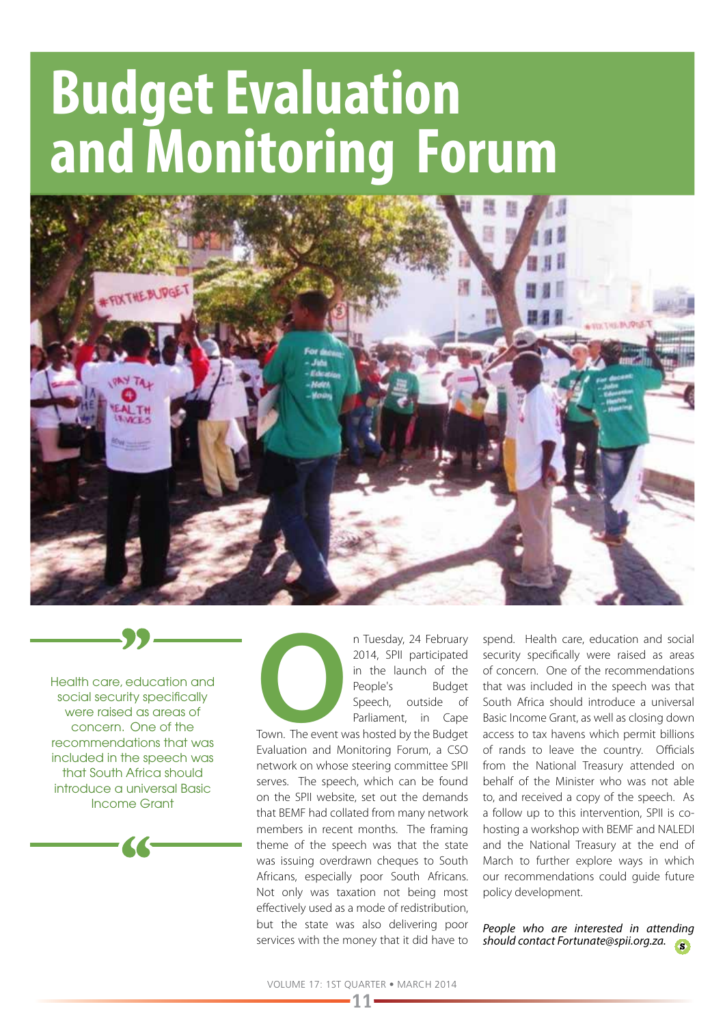## **Budget Evaluation and Monitoring Forum**



Health care, education and social security specifically were raised as areas of concern. One of the recommendations that was included in the speech was that South Africa should introduce a universal Basic Income Grant



**OPER SET SET ASSET SERVITED SET AND THE SET AND THE PROPER SPECIAL SPECIES Speech, outside of Parliament, in Cape Town. The event was hosted by the Budget Speking and Maritains Farime a CGO** 2014, SPII participated in the launch of the People's Budget Speech, outside of Parliament, in Cape

Town. The event was hosted by the Budget Evaluation and Monitoring Forum, a CSO network on whose steering committee SPII serves. The speech, which can be found on the SPII website, set out the demands that BEMF had collated from many network members in recent months. The framing theme of the speech was that the state was issuing overdrawn cheques to South Africans, especially poor South Africans. Not only was taxation not being most effectively used as a mode of redistribution, but the state was also delivering poor services with the money that it did have to

spend. Health care, education and social security specifically were raised as areas of concern. One of the recommendations that was included in the speech was that South Africa should introduce a universal Basic Income Grant, as well as closing down access to tax havens which permit billions of rands to leave the country. Officials from the National Treasury attended on behalf of the Minister who was not able to, and received a copy of the speech. As a follow up to this intervention, SPII is cohosting a workshop with BEMF and NALEDI and the National Treasury at the end of March to further explore ways in which our recommendations could guide future policy development.

*People who are interested in attending should contact Fortunate@spii.org.za.*

**11**